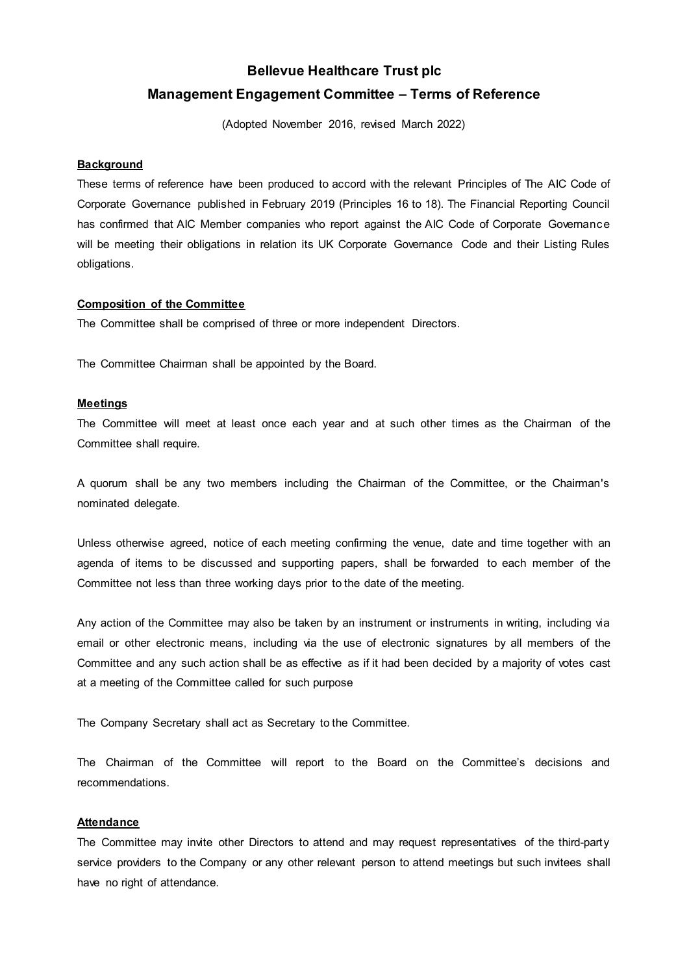# **Bellevue Healthcare Trust plc Management Engagement Committee – Terms of Reference**

(Adopted November 2016, revised March 2022)

## **Background**

These terms of reference have been produced to accord with the relevant Principles of The AIC Code of Corporate Governance published in February 2019 (Principles 16 to 18). The Financial Reporting Council has confirmed that AIC Member companies who report against the AIC Code of Corporate Governance will be meeting their obligations in relation its UK Corporate Governance Code and their Listing Rules obligations.

# **Composition of the Committee**

The Committee shall be comprised of three or more independent Directors.

The Committee Chairman shall be appointed by the Board.

## **Meetings**

The Committee will meet at least once each year and at such other times as the Chairman of the Committee shall require.

A quorum shall be any two members including the Chairman of the Committee, or the Chairman's nominated delegate.

Unless otherwise agreed, notice of each meeting confirming the venue, date and time together with an agenda of items to be discussed and supporting papers, shall be forwarded to each member of the Committee not less than three working days prior to the date of the meeting.

Any action of the Committee may also be taken by an instrument or instruments in writing, including via email or other electronic means, including via the use of electronic signatures by all members of the Committee and any such action shall be as effective as if it had been decided by a majority of votes cast at a meeting of the Committee called for such purpose

The Company Secretary shall act as Secretary to the Committee.

The Chairman of the Committee will report to the Board on the Committee's decisions and recommendations.

## **Attendance**

The Committee may invite other Directors to attend and may request representatives of the third-party service providers to the Company or any other relevant person to attend meetings but such invitees shall have no right of attendance.